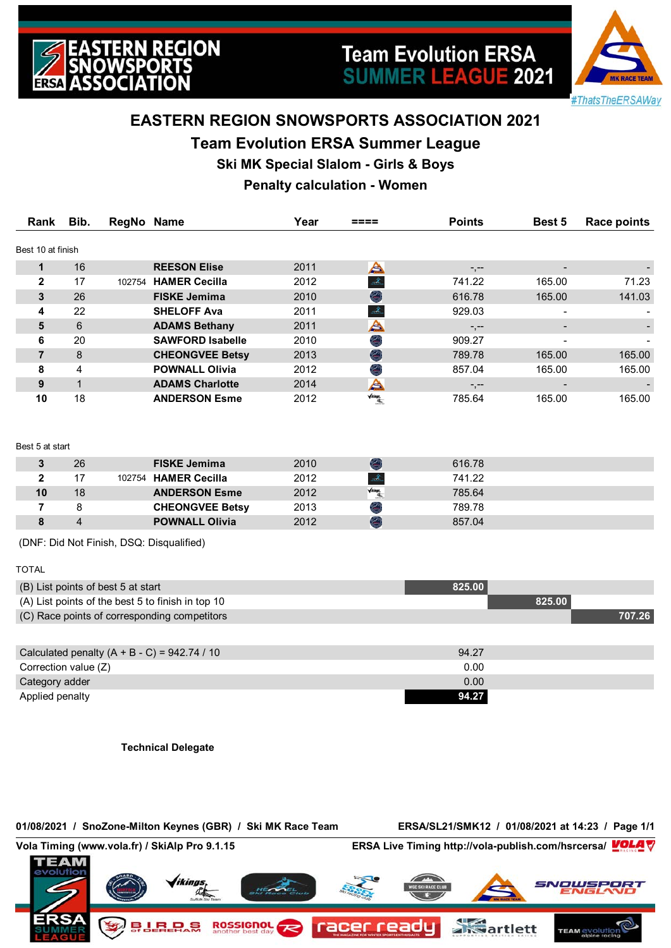



# **EASTERN REGION SNOWSPORTS ASSOCIATION 2021**

## **Team Evolution ERSA Summer League**

**Ski MK Special Slalom - Girls & Boys**

# **Penalty calculation - Women**

| Rank              | Bib. | RegNo Name |                         | Year | ====                   | <b>Points</b> | Best 5         | <b>Race points</b> |
|-------------------|------|------------|-------------------------|------|------------------------|---------------|----------------|--------------------|
| Best 10 at finish |      |            |                         |      |                        |               |                |                    |
|                   | 16   |            | <b>REESON Elise</b>     | 2011 | A                      | $-,--$        |                |                    |
| $\mathbf{2}$      | 17   | 102754     | <b>HAMER Cecilla</b>    | 2012 | À,                     | 741.22        | 165.00         | 71.23              |
| 3                 | 26   |            | <b>FISKE Jemima</b>     | 2010 | G                      | 616.78        | 165.00         | 141.03             |
| 4                 | 22   |            | <b>SHELOFF Ava</b>      | 2011 | Æ.                     | 929.03        |                |                    |
| 5                 | 6    |            | <b>ADAMS Bethany</b>    | 2011 | A                      | $-,--$        |                |                    |
| 6                 | 20   |            | <b>SAWFORD Isabelle</b> | 2010 | Ø.                     | 909.27        |                |                    |
| 7                 | 8    |            | <b>CHEONGVEE Betsy</b>  | 2013 | O                      | 789.78        | 165.00         | 165.00             |
| 8                 | 4    |            | <b>POWNALL Olivia</b>   | 2012 | G                      | 857.04        | 165.00         | 165.00             |
| 9                 |      |            | <b>ADAMS Charlotte</b>  | 2014 | A                      | $-,--$        | $\blacksquare$ |                    |
| 10                | 18   |            | <b>ANDERSON Esme</b>    | 2012 | $\sqrt{\text{Ringer}}$ | 785.64        | 165.00         | 165.00             |

### Best 5 at start

|    | 26 | <b>FISKE Jemima</b>    | 2010 |                                   | 616.78 |  |
|----|----|------------------------|------|-----------------------------------|--------|--|
|    |    | 102754 HAMER Cecilla   | 2012 | $\mathscr{X}$                     | 741.22 |  |
| 10 | 18 | <b>ANDERSON Esme</b>   | 2012 | $\sqrt{\mathit{a}\mathit{ingr}},$ | 785.64 |  |
|    |    | <b>CHEONGVEE Betsy</b> | 2013 |                                   | 789.78 |  |
|    |    | <b>POWNALL Olivia</b>  | 2012 | <b>CONTRACT</b>                   | 857.04 |  |

(DNF: Did Not Finish, DSQ: Disqualified)

### TOTAL

| (B) List points of best 5 at start                | 825.00 |        |
|---------------------------------------------------|--------|--------|
| (A) List points of the best 5 to finish in top 10 | 825.00 |        |
| (C) Race points of corresponding competitors      |        | 707.26 |
|                                                   |        |        |
| Calculated penalty $(A + B - C) = 942.74 / 10$    | 94.27  |        |
| Correction value (Z)                              | 0.00   |        |
| Category adder                                    | 0.00   |        |
| Applied penalty                                   | 94.27  |        |

**Technical Delegate**

### **01/08/2021 / SnoZone-Milton Keynes (GBR) / Ski MK Race Team ERSA/SL21/SMK12 / 01/08/2021 at 14:23 / Page 1/1**

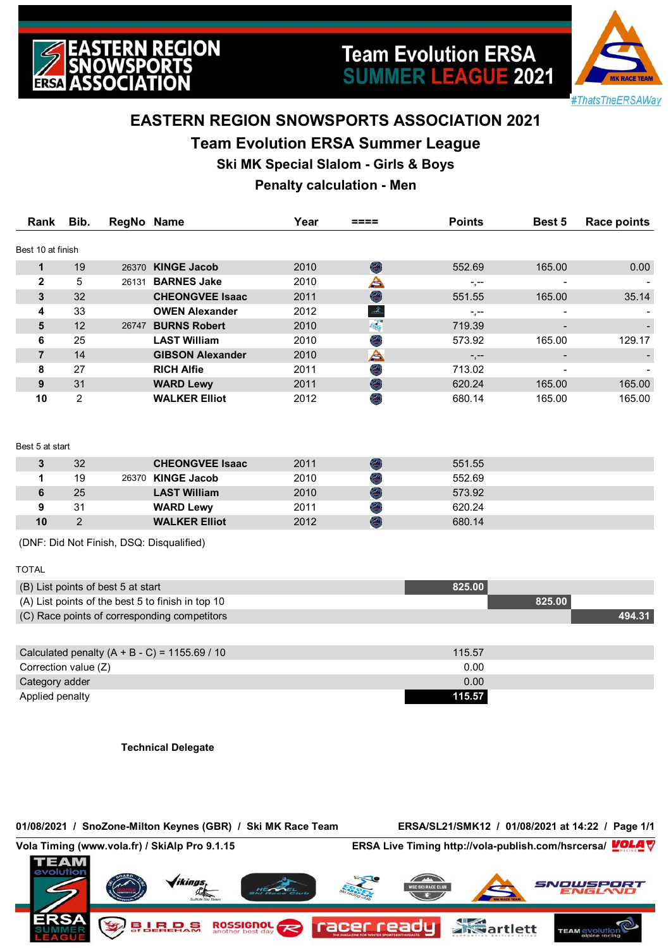



# **EASTERN REGION SNOWSPORTS ASSOCIATION 2021**

## **Team Evolution ERSA Summer League**

**Ski MK Special Slalom - Girls & Boys**

## **Penalty calculation - Men**

| Rank              | Bib. | RegNo Name |                         | Year | ====                         | <b>Points</b> | <b>Best 5</b> | <b>Race points</b> |
|-------------------|------|------------|-------------------------|------|------------------------------|---------------|---------------|--------------------|
| Best 10 at finish |      |            |                         |      |                              |               |               |                    |
|                   | 19   | 26370      | <b>KINGE Jacob</b>      | 2010 | O                            | 552.69        | 165.00        | 0.00               |
| $\mathbf{2}$      | 5    | 26131      | <b>BARNES Jake</b>      | 2010 | A                            | $-,--$        |               |                    |
| 3                 | 32   |            | <b>CHEONGVEE Isaac</b>  | 2011 | O                            | 551.55        | 165.00        | 35.14              |
| 4                 | 33   |            | <b>OWEN Alexander</b>   | 2012 | Æ.                           | -.--          |               |                    |
| 5                 | 12   | 26747      | <b>BURNS Robert</b>     | 2010 | $\theta_{\rm{avg}}^{\rm{P}}$ | 719.39        |               |                    |
| 6                 | 25   |            | <b>LAST William</b>     | 2010 | Ø                            | 573.92        | 165.00        | 129.17             |
| 7                 | 14   |            | <b>GIBSON Alexander</b> | 2010 | A                            | $-,--$        |               |                    |
| 8                 | 27   |            | <b>RICH Alfie</b>       | 2011 | Ø                            | 713.02        |               |                    |
| 9                 | 31   |            | <b>WARD Lewy</b>        | 2011 | O                            | 620.24        | 165.00        | 165.00             |
| 10                | 2    |            | <b>WALKER Elliot</b>    | 2012 | G                            | 680.14        | 165.00        | 165.00             |

#### Best 5 at start

| 2  | 32 | <b>CHEONGVEE Isaac</b> | 2011 | 551.55 |  |
|----|----|------------------------|------|--------|--|
|    | 19 | 26370 KINGE Jacob      | 2010 | 552.69 |  |
|    | 25 | <b>LAST William</b>    | 2010 | 573.92 |  |
|    | 31 | <b>WARD Lewy</b>       | 2011 | 620.24 |  |
| 10 |    | <b>WALKER Elliot</b>   | 2012 | 680.14 |  |

(DNF: Did Not Finish, DSQ: Disqualified)

### TOTAL

| (B) List points of best 5 at start                | 825.00 |        |
|---------------------------------------------------|--------|--------|
| (A) List points of the best 5 to finish in top 10 | 825.00 |        |
| (C) Race points of corresponding competitors      |        | 494.31 |
|                                                   |        |        |
| Calculated penalty $(A + B - C) = 1155.69 / 10$   | 115.57 |        |
| Correction value (Z)                              | 0.00   |        |
| Category adder                                    | 0.00   |        |
| Applied penalty                                   | 115.57 |        |

**Technical Delegate**

### **01/08/2021 / SnoZone-Milton Keynes (GBR) / Ski MK Race Team ERSA/SL21/SMK12 / 01/08/2021 at 14:22 / Page 1/1**

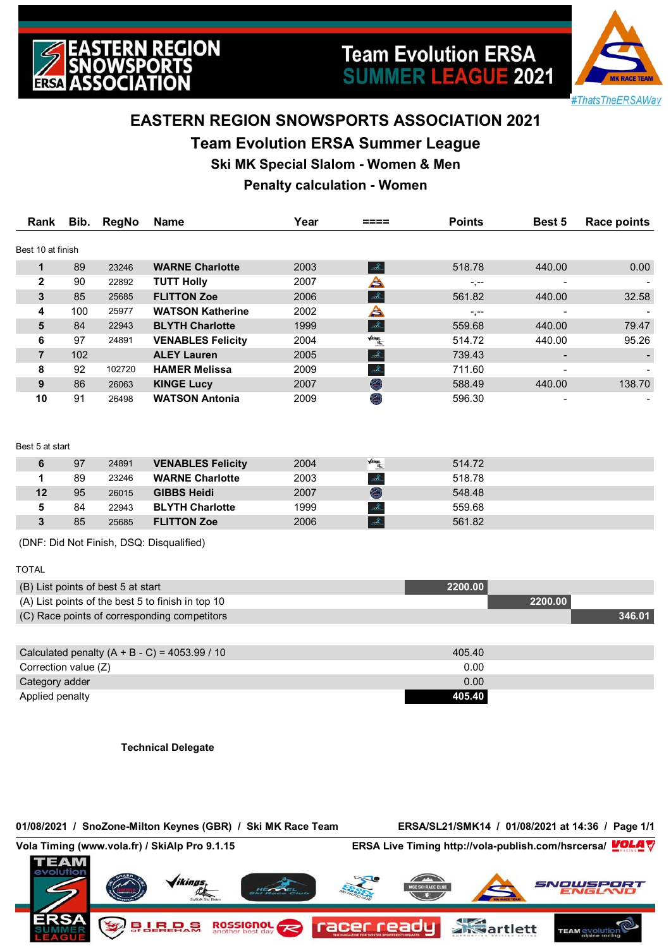



# **EASTERN REGION SNOWSPORTS ASSOCIATION 2021**

## **Team Evolution ERSA Summer League**

**Ski MK Special Slalom - Women & Men**

## **Penalty calculation - Women**

| Rank              | Bib. | RegNo  | Name                     | Year | ====                                      | <b>Points</b> | Best 5                   | <b>Race points</b> |
|-------------------|------|--------|--------------------------|------|-------------------------------------------|---------------|--------------------------|--------------------|
| Best 10 at finish |      |        |                          |      |                                           |               |                          |                    |
|                   | 89   | 23246  | <b>WARNE Charlotte</b>   | 2003 | Æ.                                        | 518.78        | 440.00                   | 0.00               |
| $\mathbf{2}$      | 90   | 22892  | <b>TUTT Holly</b>        | 2007 | ≜                                         | $-,--$        | $\overline{\phantom{0}}$ |                    |
| 3                 | 85   | 25685  | <b>FLITTON Zoe</b>       | 2006 | À.                                        | 561.82        | 440.00                   | 32.58              |
| 4                 | 100  | 25977  | <b>WATSON Katherine</b>  | 2002 | A                                         | $-,--$        | $\overline{\phantom{0}}$ |                    |
| 5                 | 84   | 22943  | <b>BLYTH Charlotte</b>   | 1999 | Æ.                                        | 559.68        | 440.00                   | 79.47              |
| 6                 | 97   | 24891  | <b>VENABLES Felicity</b> | 2004 | $\sqrt{\text{diam}_{\mathcal{A}_\infty}}$ | 514.72        | 440.00                   | 95.26              |
| 7                 | 102  |        | <b>ALEY Lauren</b>       | 2005 | $\mathcal{Z}$                             | 739.43        | $\blacksquare$           |                    |
| 8                 | 92   | 102720 | <b>HAMER Melissa</b>     | 2009 | À.                                        | 711.60        |                          |                    |
| 9                 | 86   | 26063  | <b>KINGE Lucy</b>        | 2007 | O                                         | 588.49        | 440.00                   | 138.70             |
| 10                | 91   | 26498  | <b>WATSON Antonia</b>    | 2009 | O                                         | 596.30        |                          |                    |

### Best 5 at start

|    | 97 | 24891 | <b>VENABLES Felicity</b> | 2004 | $\sqrt{\text{diam}_{\mathcal{B}_n}}$ | 514.72 |  |
|----|----|-------|--------------------------|------|--------------------------------------|--------|--|
|    | 89 | 23246 | <b>WARNE Charlotte</b>   | 2003 |                                      | 518.78 |  |
| 12 | 95 | 26015 | <b>GIBBS Heidi</b>       | 2007 | e.                                   | 548.48 |  |
|    | 84 | 22943 | <b>BLYTH Charlotte</b>   | 1999 |                                      | 559.68 |  |
|    | 85 | 25685 | <b>FLITTON Zoe</b>       | 2006 |                                      | 561.82 |  |

(DNF: Did Not Finish, DSQ: Disqualified)

| L | ΑI |  |
|---|----|--|
|   |    |  |
|   |    |  |

| (B) List points of best 5 at start                | 2200.00 |         |
|---------------------------------------------------|---------|---------|
| (A) List points of the best 5 to finish in top 10 |         | 2200.00 |
| (C) Race points of corresponding competitors      |         | 346.01  |
|                                                   |         |         |
| Calculated penalty $(A + B - C) = 4053.99 / 10$   | 405.40  |         |
| Correction value (Z)                              | 0.00    |         |
| Category adder                                    | 0.00    |         |
| Applied penalty                                   | 405.40  |         |

**Technical Delegate**

### **01/08/2021 / SnoZone-Milton Keynes (GBR) / Ski MK Race Team ERSA/SL21/SMK14 / 01/08/2021 at 14:36 / Page 1/1**